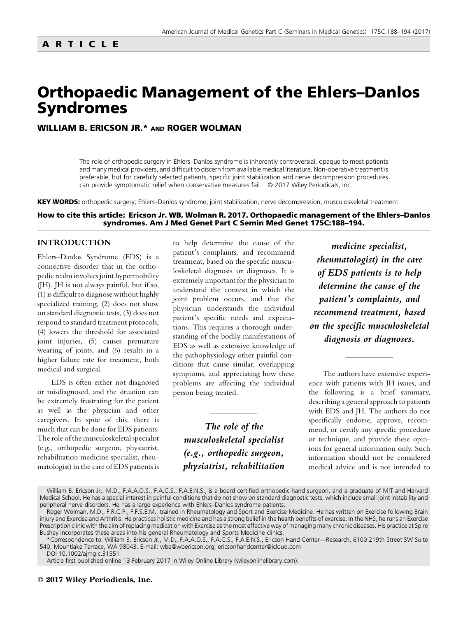# Orthopaedic Management of the Ehlers–Danlos Syndromes

# WILLIAM B. ERICSON JR.\* AND ROGER WOLMAN

The role of orthopedic surgery in Ehlers–Danlos syndrome is inherently controversial, opaque to most patients and many medical providers, and difficult to discern from available medical literature. Non-operative treatment is preferable, but for carefully selected patients, specific joint stabilization and nerve decompression procedures can provide symptomatic relief when conservative measures fail. © 2017 Wiley Periodicals, Inc.

KEY WORDS: orthopedic surgery; Ehlers-Danlos syndrome; joint stabilization; nerve decompression; musculoskeletal treatment

#### How to cite this article: Ericson Jr. WB, Wolman R. 2017. Orthopaedic management of the Ehlers–Danlos syndromes. Am J Med Genet Part C Semin Med Genet 175C:188–194.

## INTRODUCTION

Ehlers–Danlos Syndrome (EDS) is a connective disorder that in the orthopedic realm involves joint hypermobility (JH). JH is not always painful, but if so, (1) is difficult to diagnose without highly specialized training, (2) does not show on standard diagnostic tests, (3) does not respond to standard treatment protocols, (4) lowers the threshold for associated joint injuries, (5) causes premature wearing of joints, and (6) results in a higher failure rate for treatment, both medical and surgical.

EDS is often either not diagnosed or misdiagnosed, and the situation can be extremely frustrating for the patient as well as the physician and other caregivers. In spite of this, there is much that can be done for EDS patients. The role of the musculoskeletal specialist (e.g., orthopedic surgeon, physiatrist, rehabilitation medicine specialist, rheumatologist) in the care of EDS patients is

to help determine the cause of the patient's complaints, and recommend treatment, based on the specific musculoskeletal diagnosis or diagnoses. It is extremely important for the physician to understand the context in which the joint problem occurs, and that the physician understands the individual patient's specific needs and expectations. This requires a thorough understanding of the bodily manifestations of EDS as well as extensive knowledge of the pathophysiology other painful conditions that cause similar, overlapping symptoms, and appreciating how these problems are affecting the individual person being treated.

The role of the musculoskeletal specialist (e.g., orthopedic surgeon, physiatrist, rehabilitation

medicine specialist, rheumatologist) in the care of EDS patients is to help determine the cause of the patient's complaints, and recommend treatment, based on the specific musculoskeletal diagnosis or diagnoses.

The authors have extensive experience with patients with JH issues, and the following is a brief summary, describing a general approach to patients with EDS and JH. The authors do not specifically endorse, approve, recommend, or certify any specific procedure or technique, and provide these opinions for general information only. Such information should not be considered medical advice and is not intended to

DOI 10.1002/ajmg.c.31551

Article first published online 13 February 2017 in Wiley Online Library (wileyonlinelibrary.com).

William B. Ericson Jr., M.D., F.A.A.O.S., F.A.C.S., F.A.E.N.S., is a board certified orthopedic hand surgeon, and a graduate of MIT and Harvard Medical School. He has a special interest in painful conditions that do not show on standard diagnostic tests, which include small joint instability and peripheral nerve disorders. He has a large experience with Ehlers–Danlos syndrome patients.

Roger Wolman, M.D., F.R.C.P., F.F.S.E.M., trained in Rheumatology and Sport and Exercise Medicine. He has written on Exercise following Brain injury and Exercise and Arthritis. He practices holistic medicine and has a strong belief in the health benefits of exercise. In the NHS, he runs an Exercise Prescription clinic with the aim of replacing medication with Exercise as the most effective way of managing many chronic diseases. His practice at Spire Bushey incorporates these areas into his general Rheumatology and Sports Medicine clinics.

<sup>\*</sup>Correspondence to: William B. Ericson Jr., M.D., F.A.A.O.S., F.A.C.S., F.A.E.N.S., Ericson Hand Center—Research, 6100 219th Street SW Suite 540, Mountlake Terrace, WA 98043. E-mail: wbe@wbericson.org; ericsonhandcenter@icloud.com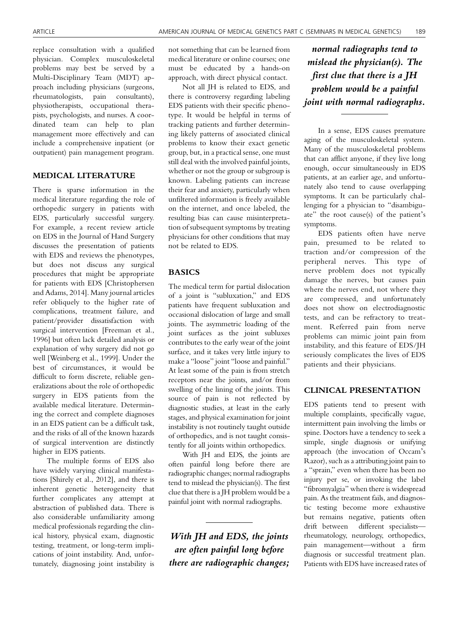replace consultation with a qualified physician. Complex musculoskeletal problems may best be served by a Multi-Disciplinary Team (MDT) approach including physicians (surgeons, rheumatologists, pain consultants), physiotherapists, occupational therapists, psychologists, and nurses. A coordinated team can help to plan management more effectively and can include a comprehensive inpatient (or outpatient) pain management program.

# MEDICAL LITERATURE

There is sparse information in the medical literature regarding the role of orthopedic surgery in patients with EDS, particularly successful surgery. For example, a recent review article on EDS in the Journal of Hand Surgery discusses the presentation of patients with EDS and reviews the phenotypes, but does not discuss any surgical procedures that might be appropriate for patients with EDS [Christophersen and Adams, 2014]. Many journal articles refer obliquely to the higher rate of complications, treatment failure, and patient/provider dissatisfaction with surgical intervention [Freeman et al., 1996] but often lack detailed analysis or explanation of why surgery did not go well [Weinberg et al., 1999]. Under the best of circumstances, it would be difficult to form discrete, reliable generalizations about the role of orthopedic surgery in EDS patients from the available medical literature. Determining the correct and complete diagnoses in an EDS patient can be a difficult task, and the risks of all of the known hazards of surgical intervention are distinctly higher in EDS patients.

The multiple forms of EDS also have widely varying clinical manifestations [Shirely et al., 2012], and there is inherent genetic heterogeneity that further complicates any attempt at abstraction of published data. There is also considerable unfamiliarity among medical professionals regarding the clinical history, physical exam, diagnostic testing, treatment, or long-term implications of joint instability. And, unfortunately, diagnosing joint instability is

not something that can be learned from medical literature or online courses; one must be educated by a hands-on approach, with direct physical contact.

Not all JH is related to EDS, and there is controversy regarding labeling EDS patients with their specific phenotype. It would be helpful in terms of tracking patients and further determining likely patterns of associated clinical problems to know their exact genetic group, but, in a practical sense, one must still deal with the involved painful joints, whether or not the group or subgroup is known. Labeling patients can increase their fear and anxiety, particularly when unfiltered information is freely available on the internet, and once labeled, the resulting bias can cause misinterpretation of subsequent symptoms by treating physicians for other conditions that may not be related to EDS.

# BASICS

The medical term for partial dislocation of a joint is "subluxation," and EDS patients have frequent subluxation and occasional dislocation of large and small joints. The asymmetric loading of the joint surfaces as the joint subluxes contributes to the early wear of the joint surface, and it takes very little injury to make a "loose" joint "loose and painful." At least some of the pain is from stretch receptors near the joints, and/or from swelling of the lining of the joints. This source of pain is not reflected by diagnostic studies, at least in the early stages, and physical examination for joint instability is not routinely taught outside of orthopedics, and is not taught consistently for all joints within orthopedics.

With JH and EDS, the joints are often painful long before there are radiographic changes; normal radiographs tend to mislead the physician(s). The first clue that there is a JH problem would be a painful joint with normal radiographs.

With JH and EDS, the joints are often painful long before there are radiographic changes;

normal radiographs tend to mislead the physician(s). The first clue that there is a JH problem would be a painful joint with normal radiographs.

In a sense, EDS causes premature aging of the musculoskeletal system. Many of the musculoskeletal problems that can afflict anyone, if they live long enough, occur simultaneously in EDS patients, at an earlier age, and unfortunately also tend to cause overlapping symptoms. It can be particularly challenging for a physician to "disambiguate" the root cause(s) of the patient's symptoms.

EDS patients often have nerve pain, presumed to be related to traction and/or compression of the peripheral nerves. This type of nerve problem does not typically damage the nerves, but causes pain where the nerves end, not where they are compressed, and unfortunately does not show on electrodiagnostic tests, and can be refractory to treatment. Referred pain from nerve problems can mimic joint pain from instability, and this feature of EDS/JH seriously complicates the lives of EDS patients and their physicians.

# CLINICAL PRESENTATION

EDS patients tend to present with multiple complaints, specifically vague, intermittent pain involving the limbs or spine. Doctors have a tendency to seek a simple, single diagnosis or unifying approach (the invocation of Occam's Razor), such as a attributing joint pain to a "sprain," even when there has been no injury per se, or invoking the label "fibromyalgia" when there is widespread pain. As the treatment fails, and diagnostic testing become more exhaustive but remains negative, patients often drift between different specialists rheumatology, neurology, orthopedics, pain management—without a firm diagnosis or successful treatment plan. Patients with EDS have increased rates of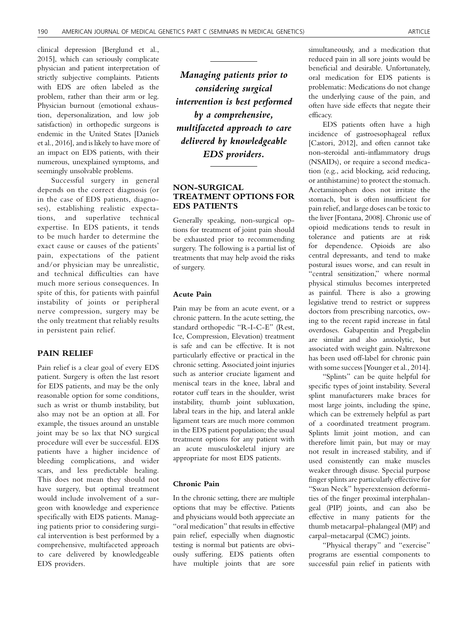clinical depression [Berglund et al., 2015], which can seriously complicate physician and patient interpretation of strictly subjective complaints. Patients with EDS are often labeled as the problem, rather than their arm or leg. Physician burnout (emotional exhaustion, depersonalization, and low job satisfaction) in orthopedic surgeons is endemic in the United States [Daniels et al., 2016], and is likely to have more of an impact on EDS patients, with their numerous, unexplained symptoms, and seemingly unsolvable problems.

Successful surgery in general depends on the correct diagnosis (or in the case of EDS patients, diagnoses), establishing realistic expectations, and superlative technical expertise. In EDS patients, it tends to be much harder to determine the exact cause or causes of the patients' pain, expectations of the patient and/or physician may be unrealistic, and technical difficulties can have much more serious consequences. In spite of this, for patients with painful instability of joints or peripheral nerve compression, surgery may be the only treatment that reliably results in persistent pain relief.

## PAIN RELIEF

Pain relief is a clear goal of every EDS patient. Surgery is often the last resort for EDS patients, and may be the only reasonable option for some conditions, such as wrist or thumb instability, but also may not be an option at all. For example, the tissues around an unstable joint may be so lax that NO surgical procedure will ever be successful. EDS patients have a higher incidence of bleeding complications, and wider scars, and less predictable healing. This does not mean they should not have surgery, but optimal treatment would include involvement of a surgeon with knowledge and experience specifically with EDS patients. Managing patients prior to considering surgical intervention is best performed by a comprehensive, multifaceted approach to care delivered by knowledgeable EDS providers.

Managing patients prior to considering surgical intervention is best performed by a comprehensive, multifaceted approach to care delivered by knowledgeable EDS providers.

# NON-SURGICAL TREATMENT OPTIONS FOR EDS PATIENTS

Generally speaking, non-surgical options for treatment of joint pain should be exhausted prior to recommending surgery. The following is a partial list of treatments that may help avoid the risks of surgery.

## Acute Pain

Pain may be from an acute event, or a chronic pattern. In the acute setting, the standard orthopedic "R-I-C-E" (Rest, Ice, Compression, Elevation) treatment is safe and can be effective. It is not particularly effective or practical in the chronic setting. Associated joint injuries such as anterior cruciate ligament and meniscal tears in the knee, labral and rotator cuff tears in the shoulder, wrist instability, thumb joint subluxation, labral tears in the hip, and lateral ankle ligament tears are much more common in the EDS patient population; the usual treatment options for any patient with an acute musculoskeletal injury are appropriate for most EDS patients.

# Chronic Pain

In the chronic setting, there are multiple options that may be effective. Patients and physicians would both appreciate an "oral medication" that results in effective pain relief, especially when diagnostic testing is normal but patients are obviously suffering. EDS patients often have multiple joints that are sore simultaneously, and a medication that reduced pain in all sore joints would be beneficial and desirable. Unfortunately, oral medication for EDS patients is problematic: Medications do not change the underlying cause of the pain, and often have side effects that negate their efficacy.

EDS patients often have a high incidence of gastroesophageal reflux [Castori, 2012], and often cannot take non-steroidal anti-inflammatory drugs (NSAIDs), or require a second medication (e.g., acid blocking, acid reducing, or antihistamine) to protect the stomach. Acetaminophen does not irritate the stomach, but is often insufficient for pain relief, and large doses can be toxic to the liver [Fontana, 2008]. Chronic use of opioid medications tends to result in tolerance and patients are at risk for dependence. Opioids are also central depressants, and tend to make postural issues worse, and can result in "central sensitization," where normal physical stimulus becomes interpreted as painful. There is also a growing legislative trend to restrict or suppress doctors from prescribing narcotics, owing to the recent rapid increase in fatal overdoses. Gabapentin and Pregabelin are similar and also anxiolytic, but associated with weight gain. Naltrexone has been used off-label for chronic pain with some success [Younger et al., 2014].

"Splints" can be quite helpful for specific types of joint instability. Several splint manufacturers make braces for most large joints, including the spine, which can be extremely helpful as part of a coordinated treatment program. Splints limit joint motion, and can therefore limit pain, but may or may not result in increased stability, and if used consistently can make muscles weaker through disuse. Special purpose finger splints are particularly effective for "Swan Neck" hyperextension deformities of the finger proximal interphalangeal (PIP) joints, and can also be effective in many patients for the thumb metacarpal–phalangeal (MP) and carpal–metacarpal (CMC) joints.

"Physical therapy" and "exercise" programs are essential components to successful pain relief in patients with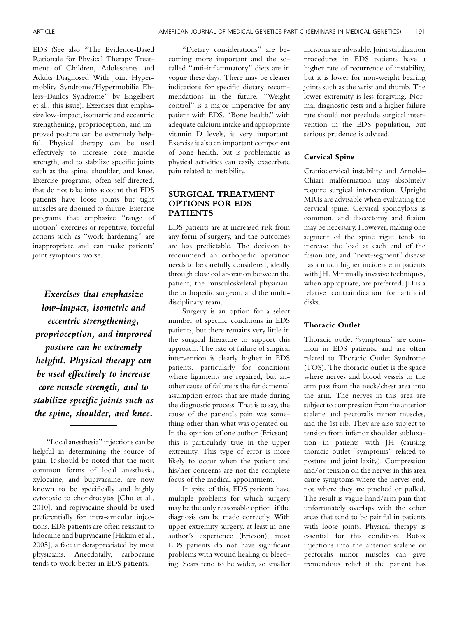EDS (See also "The Evidence-Based Rationale for Physical Therapy Treatment of Children, Adolescents and Adults Diagnosed With Joint Hypermoblity Syndrome/Hypermobilie Ehlers–Danlos Syndrome" by Engelbert et al., this issue). Exercises that emphasize low-impact, isometric and eccentric strengthening, proprioception, and improved posture can be extremely helpful. Physical therapy can be used effectively to increase core muscle strength, and to stabilize specific joints such as the spine, shoulder, and knee. Exercise programs, often self-directed, that do not take into account that EDS patients have loose joints but tight muscles are doomed to failure. Exercise programs that emphasize "range of motion" exercises or repetitive, forceful actions such as "work hardening" are inappropriate and can make patients' joint symptoms worse.

Exercises that emphasize low-impact, isometric and eccentric strengthening, proprioception, and improved posture can be extremely helpful. Physical therapy can be used effectively to increase core muscle strength, and to stabilize specific joints such as the spine, shoulder, and knee.

"Dietary considerations" are becoming more important and the socalled "anti-inflammatory" diets are in vogue these days. There may be clearer indications for specific dietary recommendations in the future. "Weight control" is a major imperative for any patient with EDS. "Bone health," with adequate calcium intake and appropriate vitamin D levels, is very important. Exercise is also an important component of bone health, but is problematic as physical activities can easily exacerbate pain related to instability.

# SURGICAL TREATMENT OPTIONS FOR EDS PATIENTS

EDS patients are at increased risk from any form of surgery, and the outcomes are less predictable. The decision to recommend an orthopedic operation needs to be carefully considered, ideally through close collaboration between the patient, the musculoskeletal physician, the orthopedic surgeon, and the multidisciplinary team.

Surgery is an option for a select number of specific conditions in EDS patients, but there remains very little in the surgical literature to support this approach. The rate of failure of surgical intervention is clearly higher in EDS patients, particularly for conditions where ligaments are repaired, but another cause of failure is the fundamental assumption errors that are made during the diagnostic process. That is to say, the cause of the patient's pain was something other than what was operated on. In the opinion of one author (Ericson), this is particularly true in the upper extremity. This type of error is more likely to occur when the patient and his/her concerns are not the complete focus of the medical appointment.

In spite of this, EDS patients have multiple problems for which surgery may be the only reasonable option, if the diagnosis can be made correctly. With upper extremity surgery, at least in one author's experience (Ericson), most EDS patients do not have significant problems with wound healing or bleeding. Scars tend to be wider, so smaller

incisions are advisable. Joint stabilization procedures in EDS patients have a higher rate of recurrence of instability, but it is lower for non-weight bearing joints such as the wrist and thumb. The lower extremity is less forgiving. Normal diagnostic tests and a higher failure rate should not preclude surgical intervention in the EDS population, but serious prudence is advised.

## Cervical Spine

Craniocervical instability and Arnold– Chiari malformation may absolutely require surgical intervention. Upright MRIs are advisable when evaluating the cervical spine. Cervical spondylosis is common, and discectomy and fusion may be necessary. However, making one segment of the spine rigid tends to increase the load at each end of the fusion site, and "next-segment" disease has a much higher incidence in patients with JH. Minimally invasive techniques, when appropriate, are preferred. JH is a relative contraindication for artificial disks.

# Thoracic Outlet

Thoracic outlet "symptoms" are common in EDS patients, and are often related to Thoracic Outlet Syndrome (TOS). The thoracic outlet is the space where nerves and blood vessels to the arm pass from the neck/chest area into the arm. The nerves in this area are subject to compression from the anterior scalene and pectoralis minor muscles, and the 1st rib. They are also subject to tension from inferior shoulder subluxation in patients with JH (causing thoracic outlet "symptoms" related to posture and joint laxity). Compression and/or tension on the nerves in this area cause symptoms where the nerves end, not where they are pinched or pulled. The result is vague hand/arm pain that unfortunately overlaps with the other areas that tend to be painful in patients with loose joints. Physical therapy is essential for this condition. Botox injections into the anterior scalene or pectoralis minor muscles can give tremendous relief if the patient has

<sup>&</sup>quot;Local anesthesia" injections can be helpful in determining the source of pain. It should be noted that the most common forms of local anesthesia, xylocaine, and bupivacaine, are now known to be specifically and highly cytotoxic to chondrocytes [Chu et al., 2010], and ropivacaine should be used preferentially for intra-articular injections. EDS patients are often resistant to lidocaine and bupivacaine [Hakim et al., 2005], a fact underappreciated by most physicians. Anecdotally, carbocaine tends to work better in EDS patients.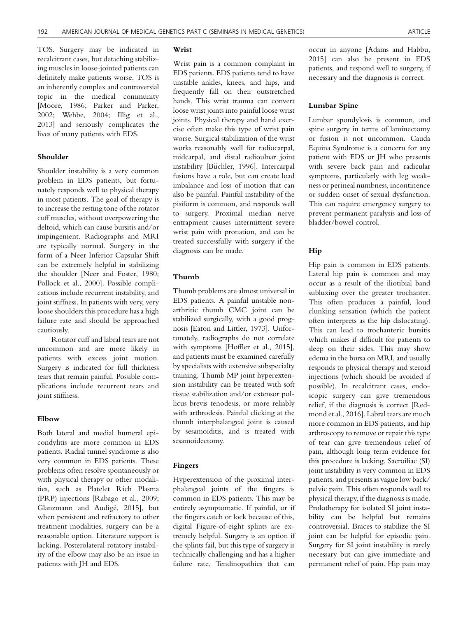TOS. Surgery may be indicated in recalcitrant cases, but detaching stabilizing muscles in loose-jointed patients can definitely make patients worse. TOS is an inherently complex and controversial topic in the medical community [Moore, 1986; Parker and Parker, 2002; Wehbe, 2004; Illig et al., 2013] and seriously complicates the lives of many patients with EDS.

## Shoulder

Shoulder instability is a very common problem in EDS patients, but fortunately responds well to physical therapy in most patients. The goal of therapy is to increase the resting tone of the rotator cuff muscles, without overpowering the deltoid, which can cause bursitis and/or impingement. Radiographs and MRI are typically normal. Surgery in the form of a Neer Inferior Capsular Shift can be extremely helpful in stabilizing the shoulder [Neer and Foster, 1980; Pollock et al., 2000]. Possible complications include recurrent instability, and joint stiffness. In patients with very, very loose shoulders this procedure has a high failure rate and should be approached cautiously.

Rotator cuff and labral tears are not uncommon and are more likely in patients with excess joint motion. Surgery is indicated for full thickness tears that remain painful. Possible complications include recurrent tears and joint stiffness.

#### Elbow

Both lateral and medial humeral epicondylitis are more common in EDS patients. Radial tunnel syndrome is also very common in EDS patients. These problems often resolve spontaneously or with physical therapy or other modalities, such as Platelet Rich Plasma (PRP) injections [Rabago et al., 2009; Glanzmann and Audige, 2015], but when persistent and refractory to other treatment modalities, surgery can be a reasonable option. Literature support is lacking. Posterolateral rotatory instability of the elbow may also be an issue in patients with JH and EDS.

### Wrist

Wrist pain is a common complaint in EDS patients. EDS patients tend to have unstable ankles, knees, and hips, and frequently fall on their outstretched hands. This wrist trauma can convert loose wrist joints into painful loose wrist joints. Physical therapy and hand exercise often make this type of wrist pain worse. Surgical stabilization of the wrist works reasonably well for radiocarpal, midcarpal, and distal radioulnar joint instability [Büchler, 1996]. Intercarpal fusions have a role, but can create load imbalance and loss of motion that can also be painful. Painful instability of the pisiform is common, and responds well to surgery. Proximal median nerve entrapment causes intermittent severe wrist pain with pronation, and can be treated successfully with surgery if the diagnosis can be made.

## Thumb

Thumb problems are almost universal in EDS patients. A painful unstable nonarthritic thumb CMC joint can be stabilized surgically, with a good prognosis [Eaton and Littler, 1973]. Unfortunately, radiographs do not correlate with symptoms [Hoffler et al., 2015], and patients must be examined carefully by specialists with extensive subspecialty training. Thumb MP joint hyperextension instability can be treated with soft tissue stabilization and/or extensor pollicus brevis tenodesis, or more reliably with arthrodesis. Painful clicking at the thumb interphalangeal joint is caused by sesamoiditis, and is treated with sesamoidectomy.

#### Fingers

Hyperextension of the proximal interphalangeal joints of the fingers is common in EDS patients. This may be entirely asymptomatic. If painful, or if the fingers catch or lock because of this, digital Figure-of-eight splints are extremely helpful. Surgery is an option if the splints fail, but this type of surgery is technically challenging and has a higher failure rate. Tendinopathies that can

occur in anyone [Adams and Habbu, 2015] can also be present in EDS patients, and respond well to surgery, if necessary and the diagnosis is correct.

#### Lumbar Spine

Lumbar spondylosis is common, and spine surgery in terms of laminectomy or fusion is not uncommon. Cauda Equina Syndrome is a concern for any patient with EDS or JH who presents with severe back pain and radicular symptoms, particularly with leg weakness or perineal numbness, incontinence or sudden onset of sexual dysfunction. This can require emergency surgery to prevent permanent paralysis and loss of bladder/bowel control.

### Hip

Hip pain is common in EDS patients. Lateral hip pain is common and may occur as a result of the iliotibial band subluxing over the greater trochanter. This often produces a painful, loud clunking sensation (which the patient often interprets as the hip dislocating). This can lead to trochanteric bursitis which makes if difficult for patients to sleep on their sides. This may show edema in the bursa on MRI, and usually responds to physical therapy and steroid injections (which should be avoided if possible). In recalcitrant cases, endoscopic surgery can give tremendous relief, if the diagnosis is correct [Redmond et al., 2016]. Labral tears are much more common in EDS patients, and hip arthroscopy to remove or repair this type of tear can give tremendous relief of pain, although long term evidence for this procedure is lacking. Sacroiliac (SI) joint instability is very common in EDS patients, and presents as vague low back/ pelvic pain. This often responds well to physical therapy, if the diagnosis is made. Prolotherapy for isolated SI joint instability can be helpful but remains controversial. Braces to stabilize the SI joint can be helpful for episodic pain. Surgery for SI joint instability is rarely necessary but can give immediate and permanent relief of pain. Hip pain may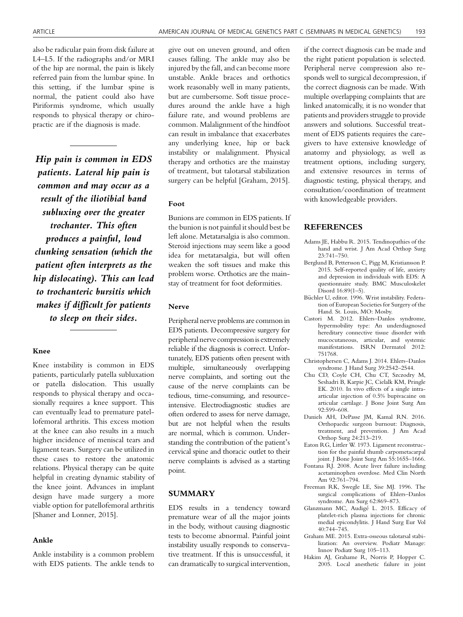also be radicular pain from disk failure at L4–L5. If the radiographs and/or MRI of the hip are normal, the pain is likely referred pain from the lumbar spine. In this setting, if the lumbar spine is normal, the patient could also have Piriformis syndrome, which usually responds to physical therapy or chiropractic are if the diagnosis is made.

Hip pain is common in EDS patients. Lateral hip pain is common and may occur as a result of the iliotibial band subluxing over the greater trochanter. This often produces a painful, loud clunking sensation (which the patient often interprets as the hip dislocating). This can lead to trochanteric bursitis which makes if difficult for patients to sleep on their sides.

#### Knee

Knee instability is common in EDS patients, particularly patella subluxation or patella dislocation. This usually responds to physical therapy and occasionally requires a knee support. This can eventually lead to premature patellofemoral arthritis. This excess motion at the knee can also results in a much higher incidence of meniscal tears and ligament tears. Surgery can be utilized in these cases to restore the anatomic relations. Physical therapy can be quite helpful in creating dynamic stability of the knee joint. Advances in implant design have made surgery a more viable option for patellofemoral arthritis [Shaner and Lonner, 2015].

### Ankle

Ankle instability is a common problem with EDS patients. The ankle tends to give out on uneven ground, and often causes falling. The ankle may also be injured by the fall, and can become more unstable. Ankle braces and orthotics work reasonably well in many patients, but are cumbersome. Soft tissue procedures around the ankle have a high failure rate, and wound problems are common. Malalignment of the hindfoot can result in imbalance that exacerbates any underlying knee, hip or back instability or malalignment. Physical therapy and orthotics are the mainstay of treatment, but talotarsal stabilization surgery can be helpful [Graham, 2015].

## Foot

Bunions are common in EDS patients. If the bunion is not painful it should best be left alone. Metatarsalgia is also common. Steroid injections may seem like a good idea for metatarsalgia, but will often weaken the soft tissues and make this problem worse. Orthotics are the mainstay of treatment for foot deformities.

## Nerve

Peripheral nerve problems are common in EDS patients. Decompressive surgery for peripheral nerve compression is extremely reliable if the diagnosis is correct. Unfortunately, EDS patients often present with multiple, simultaneously overlapping nerve complaints, and sorting out the cause of the nerve complaints can be tedious, time-consuming, and resourceintensive. Electrodiagnostic studies are often ordered to assess for nerve damage, but are not helpful when the results are normal, which is common. Understanding the contribution of the patient's cervical spine and thoracic outlet to their nerve complaints is advised as a starting point.

## SUMMARY

EDS results in a tendency toward premature wear of all the major joints in the body, without causing diagnostic tests to become abnormal. Painful joint instability usually responds to conservative treatment. If this is unsuccessful, it can dramatically to surgical intervention, if the correct diagnosis can be made and the right patient population is selected. Peripheral nerve compression also responds well to surgical decompression, if the correct diagnosis can be made. With multiple overlapping complaints that are linked anatomically, it is no wonder that patients and providers struggle to provide answers and solutions. Successful treatment of EDS patients requires the caregivers to have extensive knowledge of anatomy and physiology, as well as treatment options, including surgery, and extensive resources in terms of diagnostic testing, physical therapy, and consultation/coordination of treatment with knowledgeable providers.

# **REFERENCES**

- Adams JE, Habbu R. 2015. Tendinopathies of the hand and wrist. J Am Acad Orthop Surg 23:741–750.
- Berglund B, Pettersson C, Pigg M, Kristiansson P. 2015. Self-reported quality of life, anxiety and depression in individuals with EDS: A questionnaire study. BMC Musculoskelet Disord 16:89(1–5).
- Büchler U, editor. 1996. Wrist instability. Federation of European Societies for Surgery of the Hand. St. Louis, MO: Mosby.
- Castori M. 2012. Ehlers–Danlos syndrome, hypermobility type: An underdiagnosed hereditary connective tissue disorder with mucocutaneous, articular, and systemic manifestations. ISRN Dermatol 2012: 751768.
- Christophersen C, Adams J. 2014. Ehlers–Danlos syndrome. J Hand Surg 39:2542–2544.
- Chu CD, Coyle CH, Chu CT, Szczodry M, Seshadri B, Karpie JC, Cielalk KM, Pringle EK. 2010. In vivo effects of a single intraarticular injection of 0.5% bupivacaine on articular cartilage. J Bone Joint Surg Am 92:599–608.
- Daniels AH, DePasse JM, Kamal RN. 2016. Orthopaedic surgeon burnout: Diagnosis, treatment, and prevention. J Am Acad Orthop Surg 24:213–219.
- Eaton RG, Littler W. 1973. Ligament reconstruction for the painful thumb carpometacarpal joint. J Bone Joint Surg Am 55:1655–1666.
- Fontana RJ. 2008. Acute liver failure including acetaminophen overdose. Med Clin North Am 92:761–794.
- Freeman RK, Swegle LE, Sise MJ. 1996. The surgical complications of Ehlers–Danlos syndrome. Am Surg 62:869–873.
- Glanzmann MC, Audige L. 2015. Efficacy of platelet-rich plasma injections for chronic medial epicondylitis. J Hand Surg Eur Vol 40:744–745.
- Graham ME. 2015. Extra-osseous talotarsal stabilization: An overview. Podiatr Manage: Innov Podiatr Surg 105–113.
- Hakim AJ, Grahame R, Norris P, Hopper C. 2005. Local anesthetic failure in joint